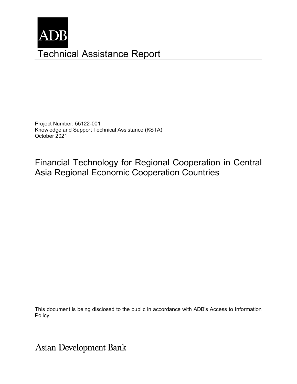

Project Number: 55122-001 Knowledge and Support Technical Assistance (KSTA) October 2021

Financial Technology for Regional Cooperation in Central Asia Regional Economic Cooperation Countries

This document is being disclosed to the public in accordance with ADB's Access to Information Policy.

**Asian Development Bank**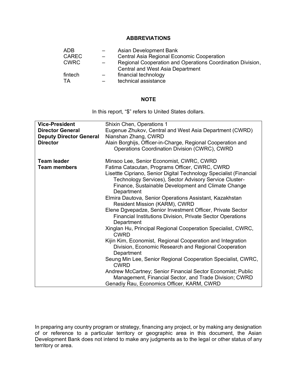## **ABBREVIATIONS**

| ADB          |                          | Asian Development Bank                                     |
|--------------|--------------------------|------------------------------------------------------------|
| <b>CAREC</b> | $\overline{\phantom{0}}$ | Central Asia Regional Economic Cooperation                 |
| <b>CWRC</b>  |                          | Regional Cooperation and Operations Coordination Division, |
|              |                          | <b>Central and West Asia Department</b>                    |
| fintech      | $\sim$                   | financial technology                                       |
| TA           |                          | technical assistance                                       |

#### **NOTE**

In this report, "\$" refers to United States dollars.

| <b>Vice-President</b><br><b>Director General</b><br><b>Deputy Director General</b><br><b>Director</b> | Shixin Chen, Operations 1<br>Eugenue Zhukov, Central and West Asia Department (CWRD)<br>Nianshan Zhang, CWRD<br>Alain Borghijs, Officer-in-Charge, Regional Cooperation and<br>Operations Coordination Division (CWRC), CWRD                                                                                                                                                                                                                                                                                                                                                                                                                                                                                                                                                                                                                                                                                                                                                                                   |
|-------------------------------------------------------------------------------------------------------|----------------------------------------------------------------------------------------------------------------------------------------------------------------------------------------------------------------------------------------------------------------------------------------------------------------------------------------------------------------------------------------------------------------------------------------------------------------------------------------------------------------------------------------------------------------------------------------------------------------------------------------------------------------------------------------------------------------------------------------------------------------------------------------------------------------------------------------------------------------------------------------------------------------------------------------------------------------------------------------------------------------|
| <b>Team leader</b><br><b>Team members</b>                                                             | Minsoo Lee, Senior Economist, CWRC, CWRD<br>Fatima Catacutan, Programs Officer, CWRC, CWRD<br>Lisettte Cipriano, Senior Digital Technology Specialist (Financial<br>Technology Services), Sector Advisory Service Cluster-<br>Finance, Sustainable Development and Climate Change<br>Department<br>Elmira Dautova, Senior Operations Assistant, Kazakhstan<br>Resident Mission (KARM), CWRD<br>Elene Dgvepadze, Senior Investment Officer, Private Sector<br>Financial Institutions Division, Private Sector Operations<br>Department<br>Xinglan Hu, Principal Regional Cooperation Specialist, CWRC,<br><b>CWRD</b><br>Kijin Kim, Economist, Regional Cooperation and Integration<br>Division, Economic Research and Regional Cooperation<br>Department<br>Seung Min Lee, Senior Regional Cooperation Specialist, CWRC,<br><b>CWRD</b><br>Andrew McCartney; Senior Financial Sector Economist; Public<br>Management, Financial Sector, and Trade Division; CWRD<br>Genadiy Rau, Economics Officer, KARM, CWRD |

In preparing any country program or strategy, financing any project, or by making any designation of or reference to a particular territory or geographic area in this document, the Asian Development Bank does not intend to make any judgments as to the legal or other status of any territory or area.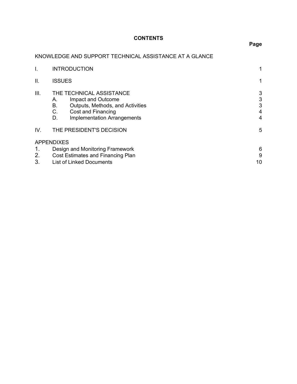# **CONTENTS**

# **Page**

# KNOWLEDGE AND SUPPORT TECHNICAL ASSISTANCE AT A GLANCE

|      | <b>INTRODUCTION</b>                                                                                                                                                    | 1                     |
|------|------------------------------------------------------------------------------------------------------------------------------------------------------------------------|-----------------------|
| Ш.   | <b>ISSUES</b>                                                                                                                                                          | 1                     |
| III. | THE TECHNICAL ASSISTANCE<br>Impact and Outcome<br>А.<br>В.<br>Outputs, Methods, and Activities<br>C.<br>Cost and Financing<br>D.<br><b>Implementation Arrangements</b> | 3<br>3<br>3<br>4<br>4 |
| IV.  | THE PRESIDENT'S DECISION                                                                                                                                               | 5                     |
|      | <b>APPENDIXES</b>                                                                                                                                                      |                       |
| 1.   | Design and Monitoring Framework                                                                                                                                        | 6                     |
| 2.   | Cost Estimates and Financing Plan                                                                                                                                      |                       |
| 3.   | <b>List of Linked Documents</b>                                                                                                                                        |                       |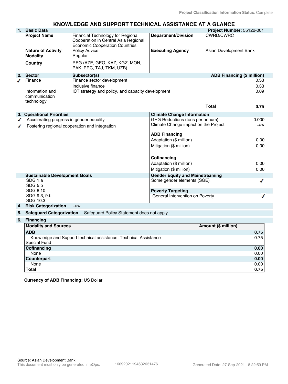# **KNOWLEDGE AND SUPPORT TECHNICAL ASSISTANCE AT A GLANCE**

| 1. | <b>Basic Data</b>                                         |                                                                                                                    |                                                              |                            | Project Number: 55122-001         |
|----|-----------------------------------------------------------|--------------------------------------------------------------------------------------------------------------------|--------------------------------------------------------------|----------------------------|-----------------------------------|
|    | <b>Project Name</b>                                       | Financial Technology for Regional<br>Cooperation in Central Asia Regional<br><b>Economic Cooperation Countries</b> | <b>Department/Division</b>                                   | <b>CWRD/CWRC</b>           |                                   |
|    | <b>Nature of Activity</b><br><b>Modality</b>              | Policy Advice<br>Regular                                                                                           | <b>Executing Agency</b>                                      | Asian Development Bank     |                                   |
|    | Country                                                   | REG (AZE, GEO, KAZ, KGZ, MON,<br>PAK, PRC, TAJ, TKM, UZB)                                                          |                                                              |                            |                                   |
| 2. | <b>Sector</b>                                             | Subsector(s)                                                                                                       |                                                              |                            | <b>ADB Financing (\$ million)</b> |
|    | Finance<br>Information and<br>communication<br>technology | Finance sector development<br>Inclusive finance<br>ICT strategy and policy, and capacity development               |                                                              |                            | 0.33<br>0.33<br>0.09              |
|    |                                                           |                                                                                                                    |                                                              | <b>Total</b>               | 0.75                              |
|    | 3. Operational Priorities                                 |                                                                                                                    | <b>Climate Change Information</b>                            |                            |                                   |
| ✔  | Accelerating progress in gender equality                  |                                                                                                                    | GHG Reductions (tons per annum)                              |                            | 0.000                             |
|    |                                                           | Fostering regional cooperation and integration                                                                     | Climate Change impact on the Project<br><b>ADB Financing</b> |                            | Low                               |
|    |                                                           |                                                                                                                    | Adaptation (\$ million)                                      |                            | 0.00                              |
|    |                                                           |                                                                                                                    | Mitigation (\$ million)                                      |                            | 0.00                              |
|    |                                                           |                                                                                                                    | Cofinancing                                                  |                            |                                   |
|    |                                                           |                                                                                                                    | Adaptation (\$ million)                                      |                            | 0.00                              |
|    |                                                           |                                                                                                                    | Mitigation (\$ million)                                      |                            | 0.00                              |
|    | <b>Sustainable Development Goals</b>                      |                                                                                                                    | <b>Gender Equity and Mainstreaming</b>                       |                            |                                   |
|    | SDG 1.a<br>SDG 5.b                                        |                                                                                                                    | Some gender elements (SGE)                                   |                            | ℐ                                 |
|    | SDG 8.10<br>SDG 9.3, 9.b                                  |                                                                                                                    | <b>Poverty Targeting</b><br>General Intervention on Poverty  |                            |                                   |
|    | SDG 10.3                                                  |                                                                                                                    |                                                              |                            |                                   |
| 4. | <b>Risk Categorization</b>                                | Low                                                                                                                |                                                              |                            |                                   |
| 5. | <b>Safeguard Categorization</b>                           | Safeguard Policy Statement does not apply                                                                          |                                                              |                            |                                   |
| 6. | <b>Financing</b>                                          |                                                                                                                    |                                                              |                            |                                   |
|    | <b>Modality and Sources</b>                               |                                                                                                                    |                                                              | <b>Amount (\$ million)</b> |                                   |
|    | <b>ADB</b>                                                |                                                                                                                    |                                                              |                            | 0.75                              |
|    |                                                           | Knowledge and Support technical assistance: Technical Assistance                                                   |                                                              |                            | 0.75                              |
|    | <b>Special Fund</b><br>Cofinancing                        |                                                                                                                    |                                                              |                            |                                   |
|    | None                                                      |                                                                                                                    |                                                              |                            | 0.00<br>0.00                      |
|    | Counterpart                                               |                                                                                                                    |                                                              |                            | 0.00                              |
|    | None                                                      |                                                                                                                    |                                                              |                            | 0.00                              |
|    | <b>Total</b>                                              |                                                                                                                    |                                                              |                            | 0.75                              |
|    |                                                           |                                                                                                                    |                                                              |                            |                                   |
|    | <b>Currency of ADB Financing: US Dollar</b>               |                                                                                                                    |                                                              |                            |                                   |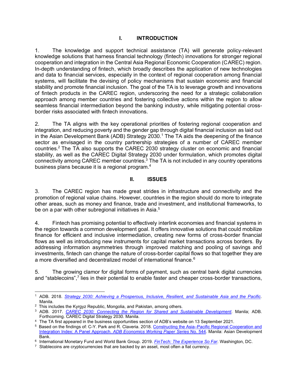## **I. INTRODUCTION**

1. The knowledge and support technical assistance (TA) will generate policy-relevant knowledge solutions that harness financial technology (fintech) innovations for stronger regional cooperation and integration in the Central Asia Regional Economic Cooperation (CAREC) region. In-depth understanding of fintech, which broadly describes the application of new technologies and data to financial services, especially in the context of regional cooperation among financial systems, will facilitate the devising of policy mechanisms that sustain economic and financial stability and promote financial inclusion. The goal of the TA is to leverage growth and innovations of fintech products in the CAREC region, underscoring the need for a strategic collaboration approach among member countries and fostering collective actions within the region to allow seamless financial intermediation beyond the banking industry, while mitigating potential crossborder risks associated with fintech innovations.

2. The TA aligns with the key operational priorities of fostering regional cooperation and integration, and reducing poverty and the gender gap through digital financial inclusion as laid out in the Asian Development Bank (ADB) Strategy  $2030<sup>1</sup>$  The TA aids the deepening of the finance sector as envisaged in the country partnership strategies of a number of CAREC member countries.2 The TA also supports the CAREC 2030 strategy cluster on economic and financial stability, as well as the CAREC Digital Strategy 2030 under formulation, which promotes digital connectivity among CAREC member countries.<sup>3</sup> The TA is not included in any country operations business plans because it is a regional program.<sup>4</sup>

## **II. ISSUES**

3. The CAREC region has made great strides in infrastructure and connectivity and the promotion of regional value chains. However, countries in the region should do more to integrate other areas, such as money and finance, trade and investment, and institutional frameworks, to be on a par with other subregional initiatives in Asia.<sup>5</sup>

4. Fintech has promising potential to effectively interlink economies and financial systems in the region towards a common development goal. It offers innovative solutions that could mobilize finance for efficient and inclusive intermediation, creating new forms of cross-border financial flows as well as introducing new instruments for capital market transactions across borders. By addressing information asymmetries through improved matching and pooling of savings and investments, fintech can change the nature of cross-border capital flows so that together they are a more diversified and decentralized model of international finance.<sup>6</sup>

5. The growing clamor for digital forms of payment, such as central bank digital currencies and "stablecoins",<sup>7</sup> lies in their potential to enable faster and cheaper cross-border transactions,

<sup>1</sup> ADB. 2018. *[Strategy 2030: Achieving a Prosperous, Inclusive, Resilient, and Sustainable Asia and the Pacific](https://www.adb.org/sites/default/files/institutional-document/435391/strategy-2030-main-document.pdf)*. Manila.

<sup>&</sup>lt;sup>2</sup> This includes the Kyrgyz Republic, Mongolia, and Pakistan, among others.

<sup>3</sup> ADB. 2017. *[CAREC 2030: Connecting the Region for Shared and Sustainable Development.](https://www.carecprogram.org/?page_id=32)* Manila; ADB. Forthcoming. CAREC Digital Strategy 2030*.* Manila.

<sup>4</sup> The TA first appeared in the business opportunities section of ADB's website on 13 September 2021.

<sup>&</sup>lt;sup>5</sup> Based on the findings of: C-Y. Park and R. Claveria. 2018. Constructing the Asia-Pacific Regional Cooperation and Integration Index: A Panel Approach. *[ADB Economics Working Paper Series](https://www.adb.org/sites/default/files/publication/419581/ewp-544-asia-pacific-regional-cooperation-integration-index.pdf)* No. 544. Manila: Asian Development Bank.

<sup>6</sup> International Monetary Fund and World Bank Group. 2019. *[FinTech: The Experience So Far](https://www.imf.org/en/Publications/Policy-Papers/Issues/2019/06/27/Fintech-The-Experience-So-Far-47056)*. Washington, DC.

<sup>&</sup>lt;sup>7</sup> Stablecoins are cryptocurrencies that are backed by an asset, most often a fiat currency.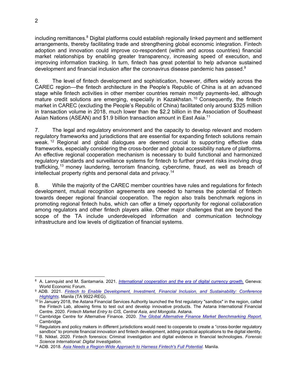including remittances. $8$  Digital platforms could establish regionally linked payment and settlement arrangements, thereby facilitating trade and strengthening global economic integration. Fintech adoption and innovation could improve co-respondent (within and across countries) financial market relationships by enabling greater transparency, increasing speed of execution, and improving information tracking. In turn, fintech has great potential to help advance sustained development and financial inclusion after the coronavirus disease pandemic has passed.<sup>9</sup>

6. The level of fintech development and sophistication, however, differs widely across the CAREC region—the fintech architecture in the People's Republic of China is at an advanced stage while fintech activities in other member countries remain mostly payments-led, although mature credit solutions are emerging, especially in Kazakhstan.<sup>10</sup> Consequently, the fintech market in CAREC (excluding the People's Republic of China) facilitated only around \$325 million in transaction volume in 2018, much lower than the \$2.2 billion in the Association of Southeast Asian Nations (ASEAN) and \$1.9 billion transaction amount in East Asia.<sup>11</sup>

7. The legal and regulatory environment and the capacity to develop relevant and modern regulatory frameworks and jurisdictions that are essential for expanding fintech solutions remain weak. <sup>12</sup> Regional and global dialogues are deemed crucial to supporting effective data frameworks, especially considering the cross-border and global accessibility nature of platforms. An effective regional cooperation mechanism is necessary to build functional and harmonized regulatory standards and surveillance systems for fintech to further prevent risks involving drug trafficking, <sup>13</sup> money laundering, terrorism financing, cybercrime, fraud, as well as breach of intellectual property rights and personal data and privacy.14

8. While the majority of the CAREC member countries have rules and regulations for fintech development, mutual recognition agreements are needed to harness the potential of fintech towards deeper regional financial cooperation. The region also trails benchmark regions in promoting regional fintech hubs, which can offer a timely opportunity for regional collaboration among regulators and other fintech players alike. Other major challenges that are beyond the scope of the TA include underdeveloped information and communication technology infrastructure and low levels of digitization of financial systems.

<sup>8</sup> A. Lannquist and M. Santamaria. 2021. *[International cooperation and the era of digital currency growth.](https://www.weforum.org/agenda/2021/05/international-cooperation-and-the-era-of-digital-currency-growth/)* Geneva: World Economic Forum. 9 ADB. 2021. *[Fintech to Enable Development, Investment, Financial Inclusion, and Sustainability: Conference](https://www.adb.org/projects/53410-001/main#project-documents)* 

*[Highlights](https://www.adb.org/projects/53410-001/main#project-documents)*. Manila (TA 9922-REG).

<sup>&</sup>lt;sup>10</sup> In January 2018, the Astana Financial Services Authority launched the first regulatory "sandbox" in the region, called the Fintech Lab, allowing firms to test out and develop innovative products. The Astana International Financial Centre. 2020. *Fintech Market Entry to CIS, Central Asia, and Mongolia*. Astana.

<sup>11</sup> Cambridge Centre for Alternative Finance. 2020. *[The Global Alternative Finance Market Benchmarking Report](https://www.jbs.cam.ac.uk/faculty-research/centres/alternative-finance/publications/the-global-alternative-finance-market-benchmarking-report/)*. Cambridge.

 $12$  Regulators and policy makers in different jurisdictions would need to cooperate to create a "cross-border regulatory sandbox" to promote financial innovation and fintech development, adding practical applications to the digital identity.

<sup>13</sup> B. Nikkel. 2020. Fintech forensics: Criminal investigation and digital evidence in financial technologies. *Forensic Science International: Digital Investigation*.

<sup>14</sup> ADB. 2018. *[Asia Needs a Region-Wide Approach to Harness Fintech's Full Potential.](https://www.adb.org/news/asia-needs-region-wide-approach-harness-fintechs-full-potential)* Manila.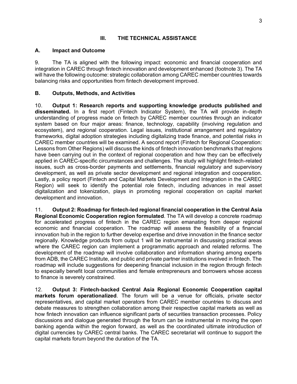## **III. THE TECHNICAL ASSISTANCE**

#### **A. Impact and Outcome**

9. The TA is aligned with the following impact: economic and financial cooperation and integration in CAREC through fintech innovation and development enhanced (footnote 3). The TA will have the following outcome: strategic collaboration among CAREC member countries towards balancing risks and opportunities from fintech development improved.

## **B. Outputs, Methods, and Activities**

10. **Output 1: Research reports and supporting knowledge products published and disseminated.** In a first report (Fintech Indicator System), the TA will provide in-depth understanding of progress made on fintech by CAREC member countries through an indicator system based on four major areas: finance, technology, capability (involving regulation and ecosystem), and regional cooperation. Legal issues, institutional arrangement and regulatory frameworks, digital adoption strategies including digitalizing trade finance, and potential risks in CAREC member countries will be examined. A second report (Fintech for Regional Cooperation: Lessons from Other Regions) will discuss the kinds of fintech innovation benchmarks that regions have been carrying out in the context of regional cooperation and how they can be effectively applied in CAREC-specific circumstances and challenges. The study will highlight fintech-related issues, such as cross-border payments and settlements, financial regulatory and supervisory development, as well as private sector development and regional integration and cooperation. Lastly, a policy report (Fintech and Capital Markets Development and Integration in the CAREC Region) will seek to identify the potential role fintech, including advances in real asset digitalization and tokenization, plays in promoting regional cooperation on capital market development and innovation.

11. **Output 2: Roadmap for fintech-led regional financial cooperation in the Central Asia Regional Economic Cooperation region formulated**. The TA will develop a concrete roadmap for accelerated progress of fintech in the CAREC region emanating from deeper regional economic and financial cooperation. The roadmap will assess the feasibility of a financial innovation hub in the region to further develop expertise and drive innovation in the finance sector regionally. Knowledge products from output 1 will be instrumental in discussing practical areas where the CAREC region can implement a programmatic approach and related reforms. The development of the roadmap will involve collaboration and information sharing among experts from ADB, the CAREC Institute, and public and private partner institutions involved in fintech. The roadmap will include suggestions for deepening financial inclusion in the region through fintech to especially benefit local communities and female entrepreneurs and borrowers whose access to finance is severely constrained.

12. **Output 3: Fintech-backed Central Asia Regional Economic Cooperation capital markets forum operationalized**. The forum will be a venue for officials, private sector representatives, and capital market operators from CAREC member countries to discuss and debate measures to strengthen collaboration among their respective capital markets as well as how fintech innovation can influence significant parts of securities transaction processes. Policy discussions and dialogue generated through the forum can be instrumental in moving the open banking agenda within the region forward, as well as the coordinated ultimate introduction of digital currencies by CAREC central banks. The CAREC secretariat will continue to support the capital markets forum beyond the duration of the TA.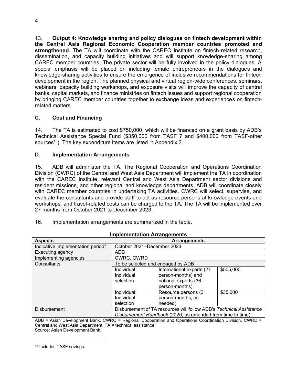13. **Output 4: Knowledge sharing and policy dialogues on fintech development within the Central Asia Regional Economic Cooperation member countries promoted and strengthened**. The TA will coordinate with the CAREC Institute on fintech-related research, dissemination, and capacity building initiatives and will support knowledge-sharing among CAREC member countries. The private sector will be fully involved in the policy dialogues. A special emphasis will be placed on including female entrepreneurs in the dialogues and knowledge-sharing activities to ensure the emergence of inclusive recommendations for fintech development in the region. The planned physical and virtual region-wide conferences, seminars, webinars, capacity building workshops, and exposure visits will improve the capacity of central banks, capital markets, and finance ministries on fintech issues and support regional cooperation by bringing CAREC member countries together to exchange ideas and experiences on fintechrelated matters.

# **C. Cost and Financing**

14. The TA is estimated to cost \$750,000, which will be financed on a grant basis by ADB's Technical Assistance Special Fund (\$350,000 from TASF 7 and \$400,000 from TASF-other sources<sup>15</sup>). The key expenditure items are listed in Appendix 2.

#### **D. Implementation Arrangements**

15. ADB will administer the TA. The Regional Cooperation and Operations Coordination Division (CWRC) of the Central and West Asia Department will implement the TA in coordination with the CAREC Institute, relevant Central and West Asia Department sector divisions and resident missions, and other regional and knowledge departments. ADB will coordinate closely with CAREC member countries in undertaking TA activities. CWRC will select, supervise, and evaluate the consultants and provide staff to act as resource persons at knowledge events and workshops, and travel-related costs can be charged to the TA. The TA will be implemented over 27 months from October 2021 to December 2023.

| <b>Implementation Arrangements</b>            |                                                                                                                                    |                                                                                           |           |  |
|-----------------------------------------------|------------------------------------------------------------------------------------------------------------------------------------|-------------------------------------------------------------------------------------------|-----------|--|
| <b>Aspects</b>                                |                                                                                                                                    | <b>Arrangements</b>                                                                       |           |  |
| Indicative implementation period <sup>a</sup> | October 2021-December 2023                                                                                                         |                                                                                           |           |  |
| Executing agency                              | ADB                                                                                                                                |                                                                                           |           |  |
| Implementing agencies                         | <b>CWRC, CWRD</b>                                                                                                                  |                                                                                           |           |  |
| Consultants                                   | To be selected and engaged by ADB                                                                                                  |                                                                                           |           |  |
|                                               | Individual:<br>Individual<br>selection                                                                                             | International experts (27<br>person-months) and<br>national experts (36<br>person-months) | \$505,000 |  |
|                                               | Individual:<br>Individual<br>selection                                                                                             | Resource persons (3<br>person-months, as<br>needed)                                       | \$35,000  |  |
| <b>Disbursement</b>                           | Disbursement of TA resources will follow ADB's Technical Assistance<br>Disbursement Handbook (2020, as amended from time to time). |                                                                                           |           |  |

| 16. |  |  | Implementation arrangements are summarized in the table. |  |
|-----|--|--|----------------------------------------------------------|--|
|-----|--|--|----------------------------------------------------------|--|

ADB = Asian Development Bank, CWRC = Regional Cooperation and Operations Coordination Division, CWRD = Central and West Asia Department, TA = technical assistance. Source: Asian Development Bank.

<sup>4</sup>

<sup>15</sup> Includes TASF savings.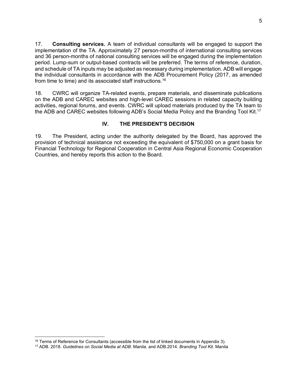17. **Consulting services.** A team of individual consultants will be engaged to support the implementation of the TA. Approximately 27 person-months of international consulting services and 36 person-months of national consulting services will be engaged during the implementation period. Lump-sum or output-based contracts will be preferred. The terms of reference, duration, and schedule of TA inputs may be adjusted as necessary during implementation. ADB will engage the individual consultants in accordance with the ADB Procurement Policy (2017, as amended from time to time) and its associated staff instructions.<sup>16</sup>

18. CWRC will organize TA-related events, prepare materials, and disseminate publications on the ADB and CAREC websites and high-level CAREC sessions in related capacity building activities, regional forums, and events. CWRC will upload materials produced by the TA team to the ADB and CAREC websites following ADB's Social Media Policy and the Branding Tool Kit.<sup>17</sup>

# **IV. THE PRESIDENT'S DECISION**

19. The President, acting under the authority delegated by the Board, has approved the provision of technical assistance not exceeding the equivalent of \$750,000 on a grant basis for Financial Technology for Regional Cooperation in Central Asia Regional Economic Cooperation Countries, and hereby reports this action to the Board.

<sup>&</sup>lt;sup>16</sup> Terms of Reference for Consultants (accessible from the list of linked documents in Appendix 3).

<sup>17</sup> ADB. 2018. *Guidelines on Social Media at ADB*. Manila. and ADB.2014. *Branding Tool Kit*. Manila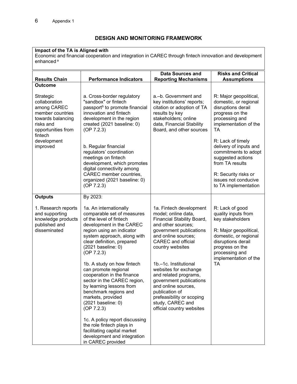# **DESIGN AND MONITORING FRAMEWORK**

#### **Impact of the TA is Aligned with**

Economic and financial cooperation and integration in CAREC through fintech innovation and development enhanced<sup>a</sup>

| <b>Results Chain</b>                                                                                                  | <b>Performance Indicators</b>                                                                                                                                                                                                                                                                                                                                                                                                                                                                                                                                                                                                | <b>Data Sources and</b><br><b>Reporting Mechanisms</b>                                                                                                                                                                                                                                                                                                                                                                             | <b>Risks and Critical</b><br><b>Assumptions</b>                                                                                                                                                         |
|-----------------------------------------------------------------------------------------------------------------------|------------------------------------------------------------------------------------------------------------------------------------------------------------------------------------------------------------------------------------------------------------------------------------------------------------------------------------------------------------------------------------------------------------------------------------------------------------------------------------------------------------------------------------------------------------------------------------------------------------------------------|------------------------------------------------------------------------------------------------------------------------------------------------------------------------------------------------------------------------------------------------------------------------------------------------------------------------------------------------------------------------------------------------------------------------------------|---------------------------------------------------------------------------------------------------------------------------------------------------------------------------------------------------------|
| <b>Outcome</b>                                                                                                        |                                                                                                                                                                                                                                                                                                                                                                                                                                                                                                                                                                                                                              |                                                                                                                                                                                                                                                                                                                                                                                                                                    |                                                                                                                                                                                                         |
| Strategic<br>collaboration<br>among CAREC<br>member countries<br>towards balancing<br>risks and<br>opportunities from | a. Cross-border regulatory<br>"sandbox" or fintech<br>passport <sup>b</sup> to promote financial<br>innovation and fintech<br>development in the region<br>created (2021 baseline: 0)<br>(OP 7.2.3)                                                                                                                                                                                                                                                                                                                                                                                                                          | a.-b. Government and<br>key institutions' reports;<br>citation or adoption of TA<br>results by key<br>stakeholders; online<br>data, Financial Stability<br>Board, and other sources                                                                                                                                                                                                                                                | R: Major geopolitical,<br>domestic, or regional<br>disruptions derail<br>progress on the<br>processing and<br>implementation of the<br>TA                                                               |
| fintech<br>development<br>improved                                                                                    | b. Regular financial<br>regulators' coordination<br>meetings on fintech<br>development, which promotes<br>digital connectivity among<br>CAREC member countries,<br>organized (2021 baseline: 0)<br>(OP 7.2.3)                                                                                                                                                                                                                                                                                                                                                                                                                |                                                                                                                                                                                                                                                                                                                                                                                                                                    | R: Lack of timely<br>delivery of inputs and<br>commitments to adopt<br>suggested actions<br>from TA results<br>R: Security risks or<br>issues not conducive<br>to TA implementation                     |
| <b>Outputs</b>                                                                                                        | By 2023:                                                                                                                                                                                                                                                                                                                                                                                                                                                                                                                                                                                                                     |                                                                                                                                                                                                                                                                                                                                                                                                                                    |                                                                                                                                                                                                         |
| 1. Research reports<br>and supporting<br>knowledge products<br>published and<br>disseminated                          | 1a. An internationally<br>comparable set of measures<br>of the level of fintech<br>development in the CAREC<br>region using an indicator<br>system approach, along with<br>clear definition, prepared<br>(2021 baseline: 0)<br>(OP 7.2.3)<br>1b. A study on how fintech<br>can promote regional<br>cooperation in the finance<br>sector in the CAREC region,<br>by learning lessons from<br>benchmark regions and<br>markets, provided<br>(2021 baseline: 0)<br>(OP 7.2.3)<br>1c. A policy report discussing<br>the role fintech plays in<br>facilitating capital market<br>development and integration<br>in CAREC provided | 1a. Fintech development<br>model; online data,<br>Financial Stability Board,<br>and other sources;<br>government publications<br>and online sources;<br><b>CAREC</b> and official<br>country websites<br>1b.-1c. Institutional<br>websites for exchange<br>and related programs,<br>government publications<br>and online sources,<br>publication of<br>prefeasibility or scoping<br>study, CAREC and<br>official country websites | R: Lack of good<br>quality inputs from<br>key stakeholders<br>R: Major geopolitical,<br>domestic, or regional<br>disruptions derail<br>progress on the<br>processing and<br>implementation of the<br>ТA |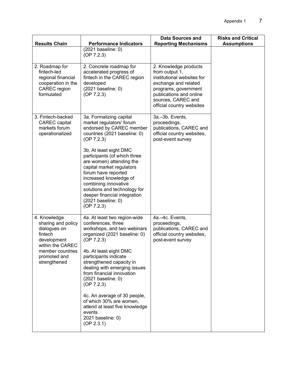| <b>Results Chain</b>                                                                                                                                 | <b>Performance Indicators</b>                                                                                                                                                                                                                                                                                   | <b>Data Sources and</b><br><b>Reporting Mechanisms</b>                                                                                                                                              | <b>Risks and Critical</b><br><b>Assumptions</b> |
|------------------------------------------------------------------------------------------------------------------------------------------------------|-----------------------------------------------------------------------------------------------------------------------------------------------------------------------------------------------------------------------------------------------------------------------------------------------------------------|-----------------------------------------------------------------------------------------------------------------------------------------------------------------------------------------------------|-------------------------------------------------|
|                                                                                                                                                      | (2021 baseline: 0)<br>(OP 7.2.3)                                                                                                                                                                                                                                                                                |                                                                                                                                                                                                     |                                                 |
| 2. Roadmap for<br>fintech-led<br>regional financial<br>cooperation in the<br>CAREC region<br>formulated                                              | 2. Concrete roadmap for<br>accelerated progress of<br>fintech in the CAREC region<br>developed<br>(2021 baseline: 0)<br>(OP 7.2.3)                                                                                                                                                                              | 2. Knowledge products<br>from output 1,<br>institutional websites for<br>exchange and related<br>programs, government<br>publications and online<br>sources, CAREC and<br>official country websites |                                                 |
| 3. Fintech-backed<br><b>CAREC</b> capital<br>markets forum<br>operationalized                                                                        | 3a. Formalizing capital<br>market regulators' forum<br>endorsed by CAREC member<br>countries (2021 baseline: 0)<br>(OP 7.2.3)                                                                                                                                                                                   | 3a.-3b. Events,<br>proceedings,<br>publications, CAREC and<br>official country websites,<br>post-event survey                                                                                       |                                                 |
|                                                                                                                                                      | 3b. At least eight DMC<br>participants (of which three<br>are women) attending the<br>capital market regulators<br>forum have reported<br>increased knowledge of<br>combining innovative<br>solutions and technology for<br>deeper financial integration<br>(2021 baseline: 0)<br>(OP 7.2.3)                    |                                                                                                                                                                                                     |                                                 |
| 4. Knowledge<br>sharing and policy<br>dialogues on<br>fintech<br>development<br>within the CAREC<br>member countries<br>promoted and<br>strengthened | 4a. At least two region-wide<br>conferences, three<br>workshops, and two webinars<br>organized (2021 baseline: 0)<br>(OP 7.2.3)<br>4b. At least eight DMC<br>participants indicate<br>strengthened capacity in<br>dealing with emerging issues<br>from financial innovation<br>(2021 baseline: 0)<br>(OP 7.2.3) | 4a.-4c. Events,<br>proceedings,<br>publications, CAREC and<br>official country websites,<br>post-event survey                                                                                       |                                                 |
|                                                                                                                                                      | 4c. An average of 30 people,<br>of which 30% are women,<br>attend at least five knowledge<br>events<br>2021 baseline: 0)<br>(OP 2.3.1)                                                                                                                                                                          |                                                                                                                                                                                                     |                                                 |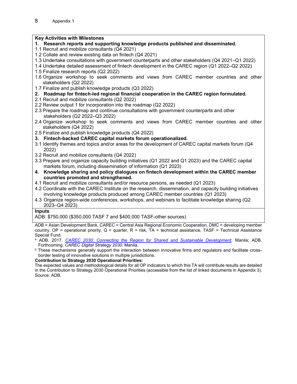# **Key Activities with Milestones**

- **1. Research reports and supporting knowledge products published and disseminated.**
- 1.1 Recruit and mobilize consultants (Q4 2021)
- 1.2 Collate and review existing data on fintech (Q4 2021)
- 1.3 Undertake consultations with government counterparts and other stakeholders (Q4 2021–Q1 2022)
- 1.4 Undertake detailed assessment of fintech development in the CAREC region (Q1 2022–Q2 2022)
- 1.5 Finalize research reports (Q2 2022)
- 1.6 Organize workshop to seek comments and views from CAREC member countries and other stakeholders (Q2 2022)
- 1.7 Finalize and publish knowledge products (Q3 2022)
- **2. Roadmap for fintech-led regional financial cooperation in the CAREC region formulated.**
- 2.1 Recruit and mobilize consultants (Q2 2022)
- 2.2 Review output 1 for incorporation into the roadmap (Q2 2022)
- 2.3 Prepare the roadmap and continue consultations with government counterparts and other stakeholders (Q2 2022–Q3 2022)
- 2.4 Organize workshop to seek comments and views from CAREC member countries and other stakeholders (Q4 2022)
- 2.5 Finalize and publish knowledge products (Q4 2022)
- **3. Fintech-backed CAREC capital markets forum operationalized.**
- 3.1 Identify themes and topics and/or areas for the development of CAREC capital markets forum (Q4 2022)
- 3.2 Recruit and mobilize consultants (Q4 2022)
- 3.3 Prepare and organize capacity building initiatives (Q1 2022 and Q1 2023) and the CAREC capital markets forum, including dissemination of information (Q1 2023)
- **4. Knowledge sharing and policy dialogues on fintech development within the CAREC member countries promoted and strengthened.**
- 4.1 Recruit and mobilize consultants and/or resource persons, as needed (Q1 2023)
- 4.2 Coordinate with the CAREC Institute on the research, dissemination, and capacity building initiatives involving knowledge products produced among CAREC member countries (Q1 2023)
- 4.3 Organize region-wide conferences, workshops, and webinars to facilitate knowledge sharing (Q2 2023–Q4 2023)

#### **Inputs**

ADB: \$750,000 (\$350,000 TASF 7 and \$400,000 TASF-other sources)

ADB = Asian Development Bank, CAREC = Central Asia Regional Economic Cooperation, DMC = developing member country,  $OP =$  operational priority,  $Q =$  quarter,  $R =$  risk,  $TA =$  technical assistance, TASF = Technical Assistance Special Fund.

- a ADB. 2017. *CAREC 2030: Connecting the Region for Shared and Sustainable Development*. Manila; ADB.<br>Forthcoming. *CAREC Digital Strategy 2030.* Manila.
- <sup>b</sup> These mechanisms generally support the interaction between innovative firms and regulators and facilitate crossborder testing of innovative solutions in multiple jurisdictions.

#### **Contribution to Strategy 2030 Operational Priorities:**

The expected values and methodological details for all OP indicators to which this TA will contribute results are detailed in the Contribution to Strategy 2030 Operational Priorities (accessible from the list of linked documents in Appendix 3). Source: ADB.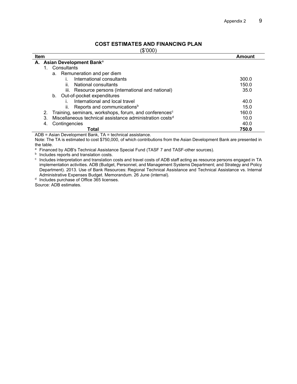### **COST ESTIMATES AND FINANCING PLAN**

(\$'000)

| Item |                                                                          | Amount |
|------|--------------------------------------------------------------------------|--------|
|      | A. Asian Development Banka                                               |        |
|      | Consultants                                                              |        |
|      | Remuneration and per diem<br>а.                                          |        |
|      | International consultants                                                | 300.0  |
|      | National consultants<br>ii.                                              | 150.0  |
|      | iii. Resource persons (international and national)                       | 35.0   |
|      | b. Out-of-pocket expenditures                                            |        |
|      | International and local travel                                           | 40.0   |
|      | Reports and communications <sup>b</sup><br>ii.                           | 15.0   |
|      | Training, seminars, workshops, forum, and conferences <sup>c</sup><br>2. | 160.0  |
| 3.   | Miscellaneous technical assistance administration costs <sup>d</sup>     | 10.0   |
| 4.   | Contingencies                                                            | 40.0   |
|      | Total                                                                    | 750.0  |
|      | $ADD = A$ sian Dauglangeart Dank, TA = teabrical assistance              |        |

ADB = Asian Development Bank, TA = technical assistance.

Note: The TA is estimated to cost \$750,000, of which contributions from the Asian Development Bank are presented in the table.

a Financed by ADB's Technical Assistance Special Fund (TASF 7 and TASF-other sources).

**b** Includes reports and translation costs.

<sup>c</sup> Includes interpretation and translation costs and travel costs of ADB staff acting as resource persons engaged in TA implementation activities. ADB (Budget, Personnel, and Management Systems Department; and Strategy and Policy Department). 2013. Use of Bank Resources: Regional Technical Assistance and Technical Assistance vs. Internal Administrative Expenses Budget. Memorandum. 26 June (internal).

<sup>d</sup> Includes purchase of Office 365 licenses.

Source: ADB estimates.